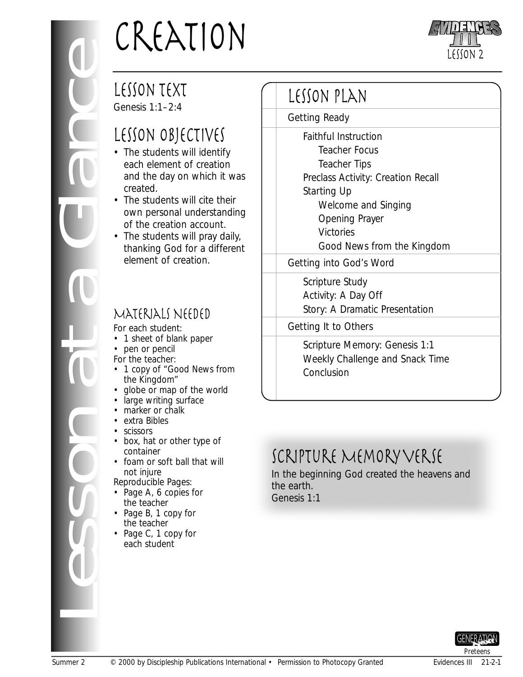# CREATION



## Lesson Text

Genesis 1:1–2:4

## Lesson Objectives

- The students will identify each element of creation and the day on which it was created.
- The students will cite their own personal understanding of the creation account.
- The students will pray daily, thanking God for a different element of creation.

## Materials Needed

*For each student:*

- 1 sheet of blank paper
- pen or pencil
- *For the teacher:*
	- 1 copy of "Good News from the Kingdom"
- globe or map of the world
- large writing surface
- marker or chalk
- extra Bibles
- scissors
- box, hat or other type of container
- foam or soft ball that will not injure

*Reproducible Pages:*

- Page A, 6 copies for the teacher
- Page B, 1 copy for the teacher
- Page C, 1 copy for each student

## Lesson Plan

*Getting Ready*

Faithful Instruction Teacher Focus Teacher Tips Preclass Activity: Creation Recall Starting Up Welcome and Singing Opening Prayer Victories Good News from the Kingdom

*Getting into God's Word* 

Scripture Study Activity: A Day Off Story: A Dramatic Presentation

*Getting It to Others*

Scripture Memory: Genesis 1:1 Weekly Challenge and Snack Time **Conclusion** 

## Scripture Memory Verse

In the beginning God created the heavens and the earth. Genesis 1:1

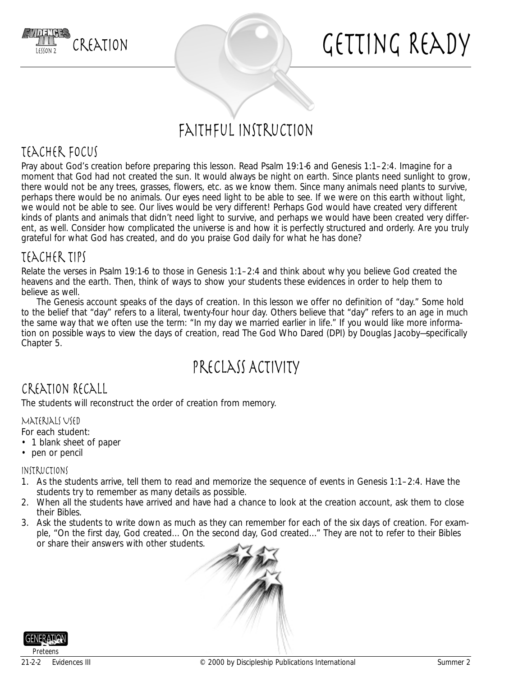

# CREATION CREATION GETTING READY

## FAITHFUL INSTRUCTION

## Teacher Focus

Pray about God's creation before preparing this lesson. Read Psalm 19:1-6 and Genesis 1:1–2:4. Imagine for a moment that God had not created the sun. It would always be night on earth. Since plants need sunlight to grow, there would not be any trees, grasses, flowers, etc. as we know them. Since many animals need plants to survive, perhaps there would be no animals. Our eyes need light to be able to see. If we were on this earth without light, we would not be able to see. Our lives would be very different! Perhaps God would have created very different kinds of plants and animals that didn't need light to survive, and perhaps we would have been created very different, as well. Consider how complicated the universe is and how it is perfectly structured and orderly. Are you truly grateful for what God has created, and do you praise God daily for what he has done?

## Teacher Tips

Relate the verses in Psalm 19:1-6 to those in Genesis 1:1–2:4 and think about why *you* believe God created the heavens and the earth. Then, think of ways to show your students these evidences in order to help them to believe as well.

The Genesis account speaks of the days of creation. In this lesson we offer no definition of "day." Some hold to the belief that "day" refers to a literal, twenty-four hour day. Others believe that "day" refers to an age in much the same way that we often use the term: "In my *day* we married earlier in life." If you would like more information on possible ways to view the days of creation, read *The God Who Dared* (DPI) by Douglas Jacoby—specifically Chapter 5.

## PRECLASS ACTIVITY

#### Creation Recall

The students will reconstruct the order of creation from memory.

#### Materials Used

*For each student:*

- 1 blank sheet of paper
- pen or pencil

#### Instructions

- 1. As the students arrive, tell them to read and memorize the sequence of events in Genesis 1:1–2:4. Have the students try to remember as many details as possible.
- 2. When all the students have arrived and have had a chance to look at the creation account, ask them to close their Bibles.
- 3. Ask the students to write down as much as they can remember for each of the six days of creation. For example, "On the first day, God created… On the second day, God created…" They are not to refer to their Bibles or share their answers with other students.



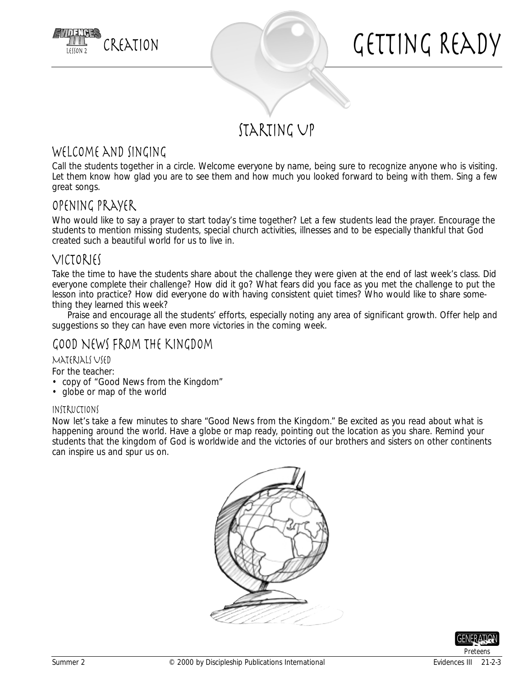

# CREATION GETTING READY

STARTING UP

#### WELCOME AND SINGING

Call the students together in a circle. Welcome everyone by name, being sure to recognize anyone who is visiting. Let them know how glad you are to see them and how much you looked forward to being with them. Sing a few great songs.

#### Opening Prayer

*Who would like to say a prayer to start today's time together?* Let a few students lead the prayer. Encourage the students to mention missing students, special church activities, illnesses and to be especially thankful that God created such a beautiful world for us to live in.

#### Victories

Take the time to have the students share about the challenge they were given at the end of last week's class*. Did everyone complete their challenge? How did it go? What fears did you face as you met the challenge to put the lesson into practice? How did everyone do with having consistent quiet times? Who would like to share something they learned this week?*

Praise and encourage all the students' efforts, especially noting any area of significant growth. Offer help and suggestions so they can have even more victories in the coming week.

#### Good News from the Kingdom

#### Materials Used

*For the teacher:*

- copy of "Good News from the Kingdom"
- globe or map of the world

#### Instructions

*Now let's take a few minutes to share "Good News from the Kingdom."* Be excited as you read about what is happening around the world. Have a globe or map ready, pointing out the location as you share. Remind your students that the kingdom of God is worldwide and the victories of our brothers and sisters on other continents can inspire us and spur us on.



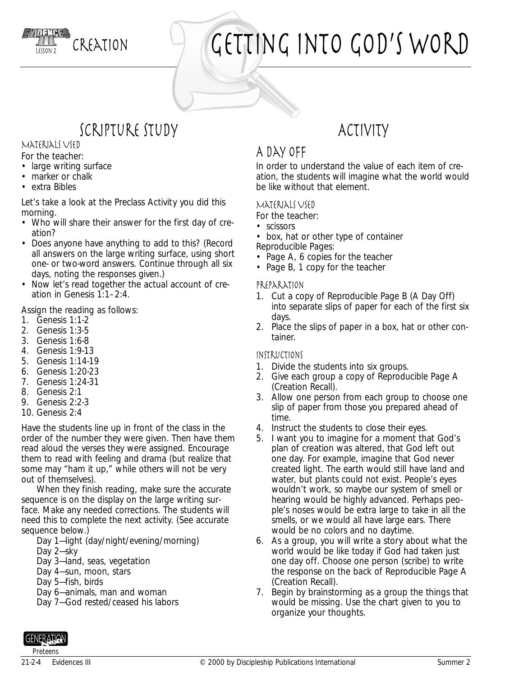

# CREATION  $\bigcup$  GETTING INTO GOD'S WORD

## SCRIPTURE STUDY

#### Materials Used

- *For the teacher:*
- large writing surface
- marker or chalk • extra Bibles

#### *Let's take a look at the Preclass Activity you did this morning.*

- *Who will share their answer for the first day of creation?*
- *Does anyone have anything to add to this?* (Record all answers on the large writing surface, using short one- or two-word answers. Continue through all six days, noting the responses given.)
- *Now let's read together the actual account of creation in Genesis 1:1–2:4.*

Assign the reading as follows:

- 1. Genesis 1:1-2
- 2. Genesis 1:3-5
- 3. Genesis 1:6-8
- 4. Genesis 1:9-13
- 5. Genesis 1:14-19
- 6. Genesis 1:20-23
- 7. Genesis 1:24-31
- 8. Genesis 2:1
- 9. Genesis 2:2-3
- 10. Genesis 2:4

Have the students line up in front of the class in the order of the number they were given. Then have them read aloud the verses they were assigned. Encourage them to read with feeling and drama (but realize that some may "ham it up," while others will not be very out of themselves).

When they finish reading, make sure the accurate sequence is on the display on the large writing surface. Make any needed corrections. The students will need this to complete the next activity. (See accurate sequence below.)

Day 1—light (day/night/evening/morning)

- Day 2—sky
- Day 3—land, seas, vegetation
- Day 4—sun, moon, stars
- Day 5—fish, birds
- Day 6—animals, man and woman
- Day 7—God rested/ceased his labors

## Activity

#### A Day Off

In order to understand the value of each item of creation, the students will imagine what the world would be like without that element.

#### Materials Used

*For the teacher:*

- scissors
- box, hat or other type of container *Reproducible Pages:*
- Page A, 6 copies for the teacher
- Page B, 1 copy for the teacher

#### Preparation

- 1. Cut a copy of Reproducible Page B (A Day Off) into separate slips of paper for each of the first six days.
- 2. Place the slips of paper in a box, hat or other container.

#### Instructions

- 1. Divide the students into six groups.
- 2. Give each group a copy of Reproducible Page A (Creation Recall).
- 3. Allow one person from each group to choose one slip of paper from those you prepared ahead of time.
- 4. Instruct the students to close their eyes.
- *5. I want you to imagine for a moment that God's plan of creation was altered, that God left out one day. For example, imagine that God never created light. The earth would still have land and water, but plants could not exist. People's eyes wouldn't work, so maybe our system of smell or hearing would be highly advanced. Perhaps people's noses would be extra large to take in all the smells, or we would all have large ears. There would be no colors and no daytime.*
- *6. As a group, you will write a story about what the world would be like today if God had taken just one day off. Choose one person (scribe) to write the response on the back of Reproducible Page A (Creation Recall).*
- *7. Begin by brainstorming as a group the things that would be missing. Use the chart given to you to organize your thoughts.*



GENERATION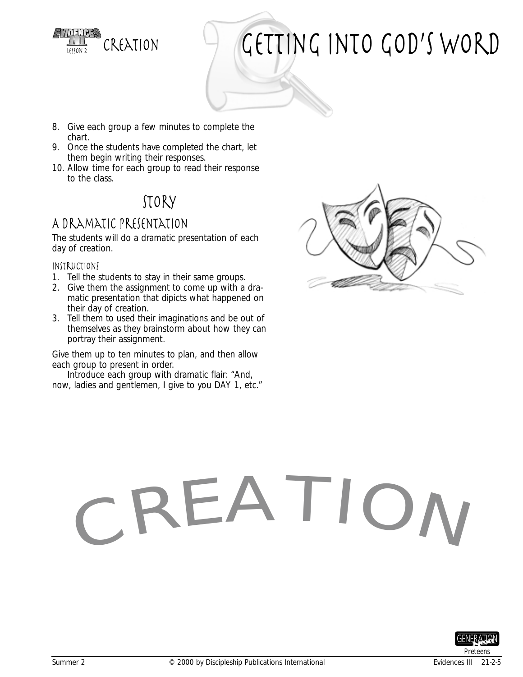

# CREATION  $\rightarrow$  GETTING INTO GOD'S WORD

- 8. Give each group a few minutes to complete the chart.
- 9. Once the students have completed the chart, let them begin writing their responses.
- 10. Allow time for each group to read their response to the class.

## STORY

#### A Dramatic Presentation

The students will do a dramatic presentation of each day of creation.

#### Instructions

- 1. Tell the students to stay in their same groups.
- 2. Give them the assignment to come up with a dramatic presentation that dipicts what happened on their day of creation.
- 3. Tell them to used their imaginations and be out of themselves as they brainstorm about how they can portray their assignment.

Give them up to ten minutes to plan, and then allow each group to present in order.

Introduce each group with dramatic flair: "And, now, ladies and gentlemen, I give to you DAY 1, etc."



# CREATION

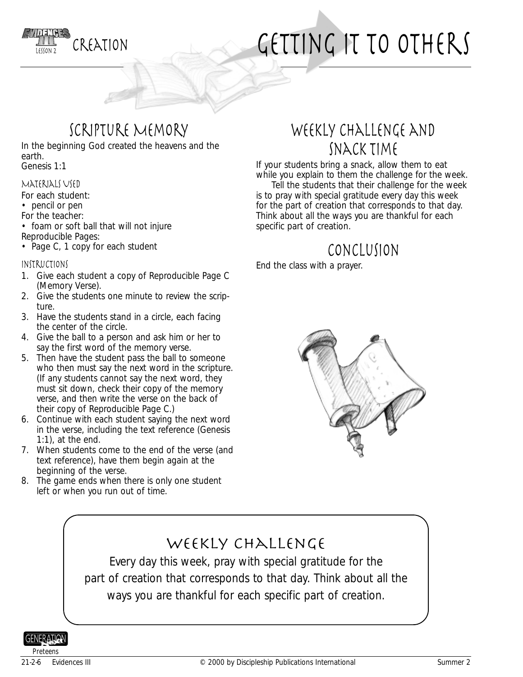

# CREATION GETTING IT TO OTHERS

## Scripture Memory

In the beginning God created the heavens and the earth.

Genesis 1:1

#### Materials Used

*For each student:*

• pencil or pen

- *For the teacher:*
- foam or soft ball that will not injure
- *Reproducible Pages:*
- Page C, 1 copy for each student

#### Instructions

- 1. Give each student a copy of Reproducible Page C (Memory Verse).
- 2. Give the students one minute to review the scripture.
- 3. Have the students stand in a circle, each facing the center of the circle.
- 4. Give the ball to a person and ask him or her to say the first word of the memory verse.
- 5. Then have the student pass the ball to someone who then must say the next word in the scripture. (If any students cannot say the next word, they must sit down, check their copy of the memory verse, and then write the verse on the back of their copy of Reproducible Page C.)
- 6. Continue with each student saying the next word in the verse, including the text reference (Genesis 1:1), at the end.
- 7. When students come to the end of the verse (and text reference), have them begin again at the beginning of the verse.
- 8. The game ends when there is only one student left or when you run out of time.

## WEEKLY CHALLENGE AND Snack Time

If your students bring a snack, allow them to eat while you explain to them the challenge for the week. Tell the students that their challenge for the week is to pray with special gratitude every day this week for the part of creation that corresponds to that day. Think about all the ways you are thankful for each specific part of creation.

## Conclusion

End the class with a prayer.



## WEEKLY CHALLENGE

Every day this week, pray with special gratitude for the part of creation that corresponds to that day. Think about all the ways you are thankful for each specific part of creation.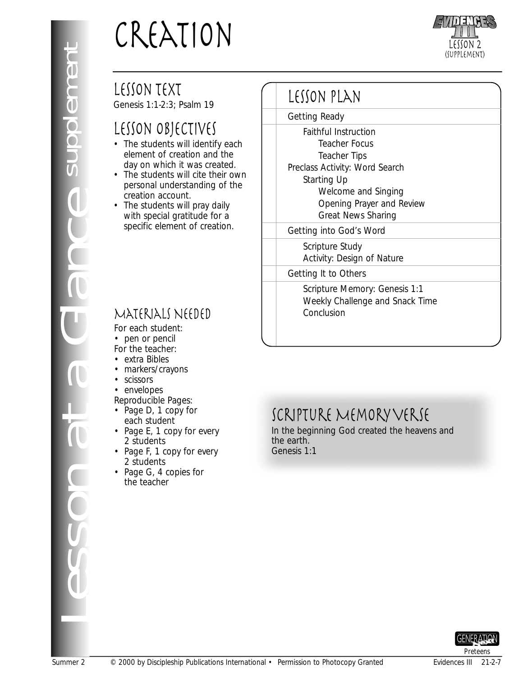# CREATION



## Lesson Text

Genesis 1:1-2:3; Psalm 19

## Lesson Objectives

- The students will identify each element of creation and the day on which it was created.
- The students will cite their own personal understanding of the creation account.
- The students will pray daily with special gratitude for a specific element of creation.

## Materials Needed

*For each student:* • pen or pencil *For the teacher:*

- extra Bibles
- markers/crayons
- scissors
- envelopes
- *Reproducible Pages:*
- Page D, 1 copy for each student
- Page E, 1 copy for every 2 students
- Page F, 1 copy for every 2 students
- Page G, 4 copies for the teacher

## Lesson Plan

*Getting Ready*

Faithful Instruction Teacher Focus Teacher Tips Preclass Activity: Word Search Starting Up Welcome and Singing Opening Prayer and Review Great News Sharing

*Getting into God's Word* 

Scripture Study Activity: Design of Nature

*Getting It to Others*

Scripture Memory: Genesis 1:1 Weekly Challenge and Snack Time Conclusion

## Scripture Memory Verse

In the beginning God created the heavens and the earth. Genesis 1:1

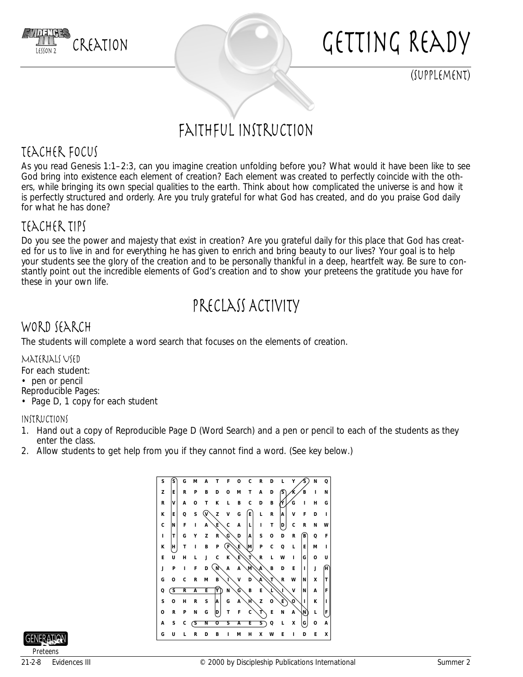

# CREATION GETTING READY

(supplement)

## Faithful Instruction

### Teacher Focus

As you read Genesis 1:1–2:3, can you imagine creation unfolding before you? What would it have been like to see God bring into existence each element of creation? Each element was created to perfectly coincide with the others, while bringing its own special qualities to the earth. Think about how complicated the universe is and how it is perfectly structured and orderly. Are you truly grateful for what God has created, and do you praise God daily for what he has done?

#### Teacher Tips

Do you see the power and majesty that exist in creation? Are you grateful daily for this place that God has created for us to live in and for everything he has given to enrich and bring beauty to our lives? Your goal is to help your students see the glory of the creation and to be personally thankful in a deep, heartfelt way. Be sure to constantly point out the incredible elements of God's creation and to show your preteens the gratitude you have for these in your own life.

## PRECLASS ACTIVITY

#### WORD SEARCH

The students will complete a word search that focuses on the elements of creation.

#### Materials Used

*For each student:*

- pen or pencil
- *Reproducible Pages:*
- Page D, 1 copy for each student

#### Instructions

- 1. Hand out a copy of Reproducible Page D (Word Search) and a pen or pencil to each of the students as they enter the class.
- 2. Allow students to get help from you if they cannot find a word. (See key below.)



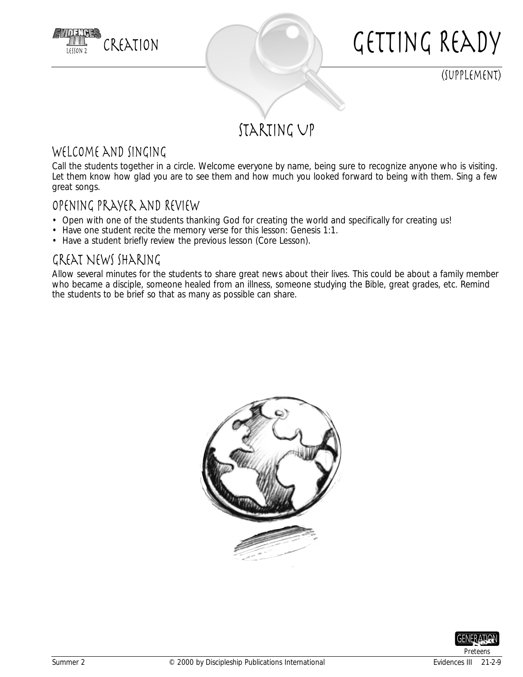

## STARTING UP

#### WELCOME AND SINGING

Call the students together in a circle. Welcome everyone by name, being sure to recognize anyone who is visiting. Let them know how glad you are to see them and how much you looked forward to being with them. Sing a few great songs.

#### Opening Prayer and Review

- Open with one of the students thanking God for creating the world and specifically for creating us!
- Have one student recite the memory verse for this lesson: Genesis 1:1.
- Have a student briefly review the previous lesson (Core Lesson).

#### Great News Sharing

Allow several minutes for the students to share great news about their lives. This could be about a family member who became a disciple, someone healed from an illness, someone studying the Bible, great grades, etc. Remind the students to be brief so that as many as possible can share.



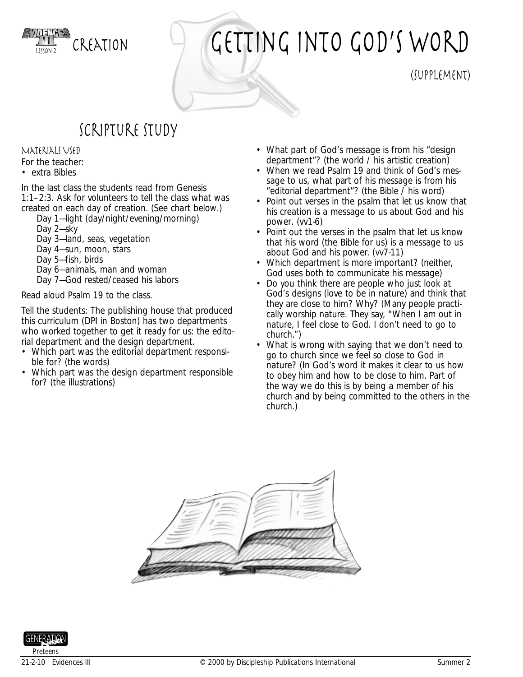# CREATION GETTING INTO GOD'S WORD

(supplement)

## SCRIPTURE STUDY

#### Materials Used

Lesson 2

**LUEUL** 

*For the teacher:*

• extra Bibles

In the last class the students read from Genesis 1:1–2:3. Ask for volunteers to tell the class what was created on each day of creation. (See chart below.)

- Day 1—light (day/night/evening/morning)
- Day 2—sky
- Day 3—land, seas, vegetation
- Day 4—sun, moon, stars
- Day 5—fish, birds
- Day 6—animals, man and woman
- Day 7—God rested/ceased his labors

Read aloud Psalm 19 to the class.

Tell the students: *The publishing house that produced this curriculum (DPI in Boston) has two departments who worked together to get it ready for us: the editorial department and the design department.*

- *Which part was the editorial department responsible for?* (the words)
- *Which part was the design department responsible for?* (the illustrations)
- *What part of God's message is from his "design department"?* (the world / his artistic creation)
- *When we read Psalm 19 and think of God's message to us, what part of his message is from his "editorial department"?* (the Bible / his word)
- *Point out verses in the psalm that let us know that his creation is a message to us about God and his power*. (vv1-6)
- *Point out the verses in the psalm that let us know that his word (the Bible for us) is a message to us about God and his power.* (vv7-11)
- *Which department is more important?* (neither, God uses both to communicate his message)
- *Do you think there are people who just look at God's designs (love to be in nature) and think that they are close to him? Why?* (Many people practically worship nature. They say, "When I am out in nature, I feel close to God. I don't need to go to church.")
- *What is wrong with saying that we don't need to go to church since we feel so close to God in nature?* (In God's word it makes it clear to us how to obey him and how to be close to him. Part of the way we do this is by being a member of his church and by being committed to the others in the church.)



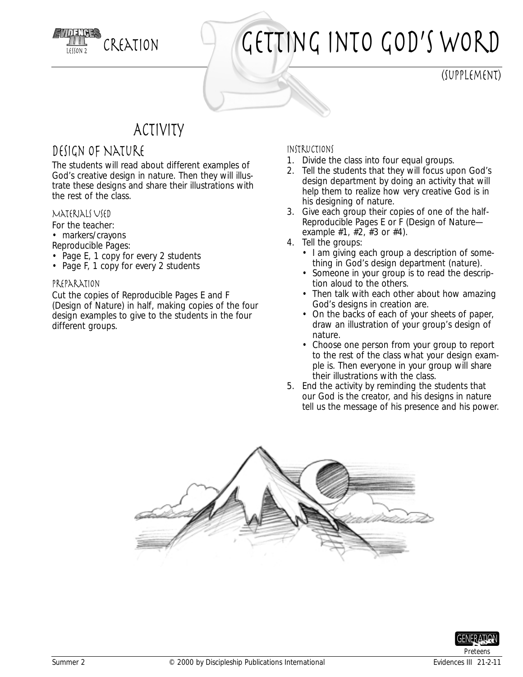

# CREATION  $GETING INTO GOD'S WORD$

(supplement)

## Activity

#### Design of Nature

The students will read about different examples of God's creative design in nature. Then they will illustrate these designs and share their illustrations with the rest of the class.

#### Materials Used

*For the teacher:*

#### • markers/crayons

*Reproducible Pages:*

- Page E, 1 copy for every 2 students
- Page F, 1 copy for every 2 students

#### Preparation

Cut the copies of Reproducible Pages E and F (Design of Nature) in half, making copies of the four design examples to give to the students in the four different groups.

#### Instructions

- 1. Divide the class into four equal groups.
- 2. Tell the students that they will focus upon God's design department by doing an activity that will help them to realize how very creative God is in his designing of nature.
- 3. Give each group their copies of one of the half-Reproducible Pages E or F (Design of Nature example  $#1, #2, #3$  or  $#4$ ).
- 4. Tell the groups:
	- *I am giving each group a description of something in God's design department (nature).*
	- *Someone in your group is to read the description aloud to the others.*
	- *Then talk with each other about how amazing God's designs in creation are.*
	- *On the backs of each of your sheets of paper, draw an illustration of your group's design of nature.*
	- *Choose one person from your group to report to the rest of the class what your design example is. Then everyone in your group will share their illustrations with the class.*
- 5. End the activity by reminding the students that our God is the creator, and his designs in nature tell us the message of his presence and his power.



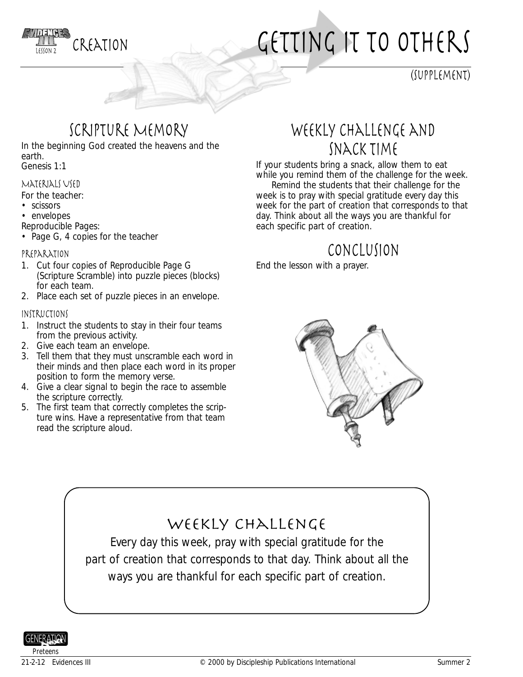

# CREATION GETTING IT TO OTHERS

(supplement)

## Scripture Memory

In the beginning God created the heavens and the earth. Genesis 1:1

#### Materials Used

*For the teacher:*

- scissors
- envelopes
- *Reproducible Pages:*
- Page G, 4 copies for the teacher

#### Preparation

- 1. Cut four copies of Reproducible Page G (Scripture Scramble) into puzzle pieces (blocks) for each team.
- 2. Place each set of puzzle pieces in an envelope.

#### INSTRUCTIONS

- 1. Instruct the students to stay in their four teams from the previous activity.
- 2. Give each team an envelope.
- 3. Tell them that they must unscramble each word in their minds and then place each word in its proper position to form the memory verse.
- 4. Give a clear signal to begin the race to assemble the scripture correctly.
- 5. The first team that correctly completes the scripture wins. Have a representative from that team read the scripture aloud.

## WEEKLY CHALLENGE AND Snack Time

If your students bring a snack, allow them to eat while you remind them of the challenge for the week. Remind the students that their challenge for the week is to pray with special gratitude every day this week for the part of creation that corresponds to that day. Think about all the ways you are thankful for each specific part of creation.

## Conclusion

End the lesson with a prayer.



## WEEKLY CHALLENGE

Every day this week, pray with special gratitude for the part of creation that corresponds to that day. Think about all the ways you are thankful for each specific part of creation.

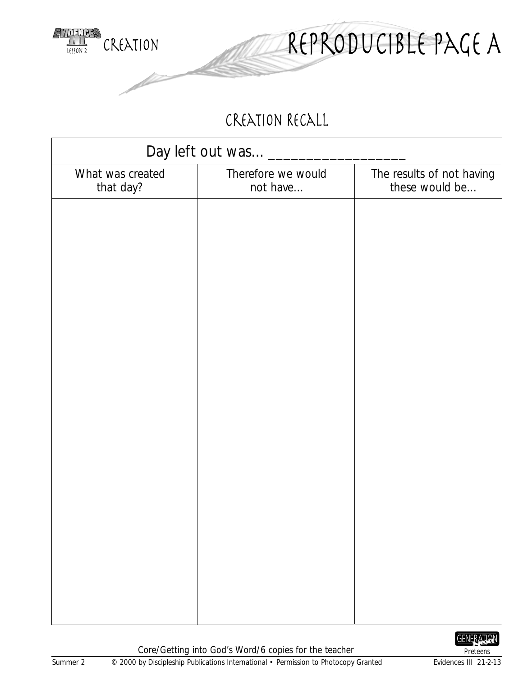**STEP SERVICE** 

Reproducible page A

## Creation Recall

|                               | Day left out was_              |                                             |  |  |  |  |  |  |  |
|-------------------------------|--------------------------------|---------------------------------------------|--|--|--|--|--|--|--|
| What was created<br>that day? | Therefore we would<br>not have | The results of not having<br>these would be |  |  |  |  |  |  |  |
|                               |                                |                                             |  |  |  |  |  |  |  |
|                               |                                |                                             |  |  |  |  |  |  |  |
|                               |                                |                                             |  |  |  |  |  |  |  |
|                               |                                |                                             |  |  |  |  |  |  |  |
|                               |                                |                                             |  |  |  |  |  |  |  |
|                               |                                |                                             |  |  |  |  |  |  |  |
|                               |                                |                                             |  |  |  |  |  |  |  |
|                               |                                |                                             |  |  |  |  |  |  |  |
|                               |                                |                                             |  |  |  |  |  |  |  |
|                               |                                |                                             |  |  |  |  |  |  |  |
|                               |                                |                                             |  |  |  |  |  |  |  |
|                               |                                |                                             |  |  |  |  |  |  |  |
|                               |                                |                                             |  |  |  |  |  |  |  |
|                               |                                |                                             |  |  |  |  |  |  |  |



Core/Getting into God's Word/6 copies for the teacher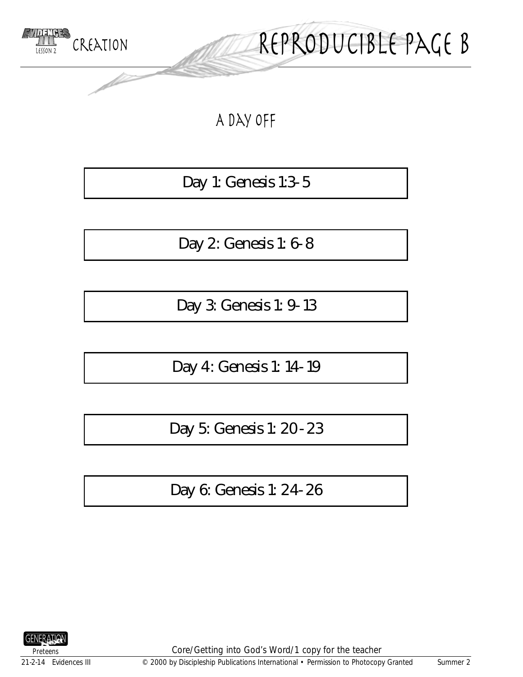

Reproducible page B

## A Day Off

Day 1: Genesis 1:3-5

Day 2: Genesis 1: 6-8

Day 3: Genesis 1: 9-13

Day 4: Genesis 1: 14-19

Day 5: Genesis 1: 20-23

Day 6: Genesis 1: 24-26



Core/Getting into God's Word/1 copy for the teacher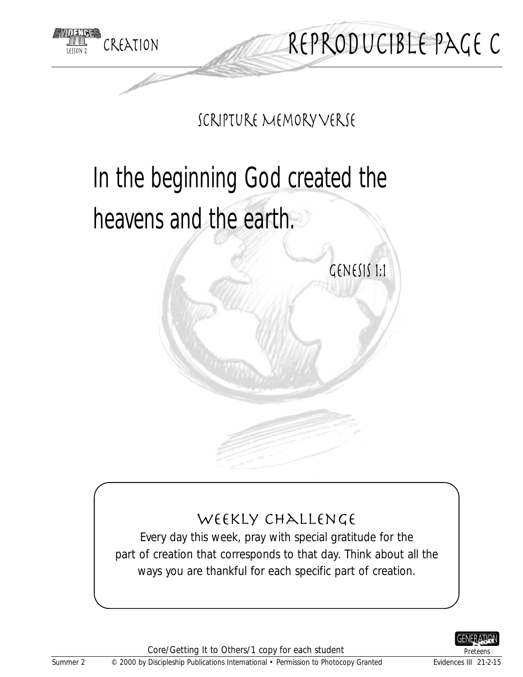

## Scripture Memory Verse

Genesis 1:1

# In the beginning God created the heavens and the earth.

## WEEKLY CHALLENGE

Every day this week, pray with special gratitude for the part of creation that corresponds to that day. Think about all the ways you are thankful for each specific part of creation.



Core/Getting It to Others/1 copy for each student

Summer 2 <sup>©</sup> 2000 by Discipleship Publications International • Permission to Photocopy Granted Evidences III 21-2-15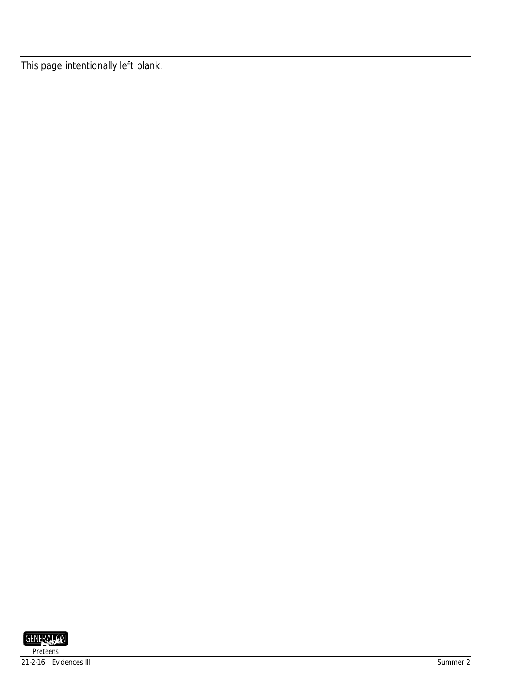This page intentionally left blank.

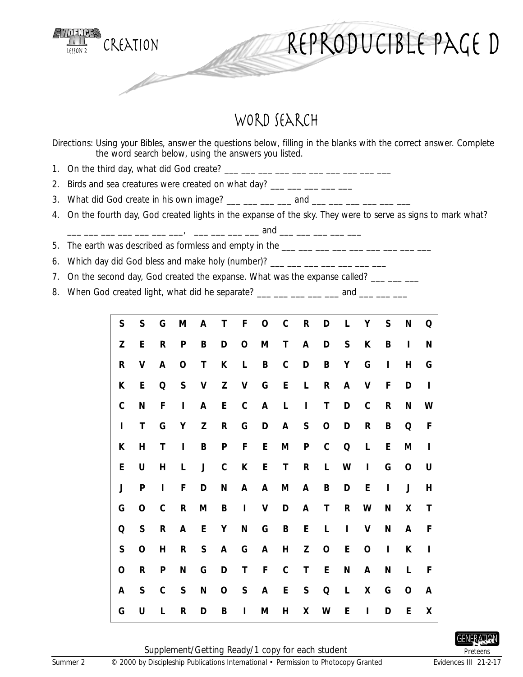

Directions: Using your Bibles, answer the questions below, filling in the blanks with the correct answer. Complete the word search below, using the answers you listed.

1. On the third day, what did God create? \_\_\_ \_\_\_ \_\_\_ \_\_\_ \_\_\_ \_\_\_ \_\_\_ \_\_\_ \_\_\_ \_\_\_

2. Birds and sea creatures were created on what day?  $\frac{1}{2}$   $\frac{1}{2}$   $\frac{1}{2}$   $\frac{1}{2}$   $\frac{1}{2}$   $\frac{1}{2}$ 

3. What did God create in his own image?  $\frac{1}{2}$   $\frac{1}{2}$   $\frac{1}{2}$  and  $\frac{1}{2}$   $\frac{1}{2}$   $\frac{1}{2}$   $\frac{1}{2}$   $\frac{1}{2}$   $\frac{1}{2}$ 

4. On the fourth day, God created lights in the expanse of the sky. They were to serve as signs to mark what?  $\overline{a}$  \_\_ \_\_\_ \_\_ \_\_ \_\_ \_\_ \_\_ and \_\_ \_\_ \_\_ \_\_ \_\_ \_\_

5. The earth was described as formless and empty in the  $\frac{1}{1}$   $\frac{1}{1}$   $\frac{1}{1}$   $\frac{1}{1}$   $\frac{1}{1}$   $\frac{1}{1}$   $\frac{1}{1}$   $\frac{1}{1}$   $\frac{1}{1}$   $\frac{1}{1}$ 

6. Which day did God bless and make holy (number)?  $\frac{1}{2}$   $\frac{1}{2}$   $\frac{1}{2}$   $\frac{1}{2}$   $\frac{1}{2}$   $\frac{1}{2}$   $\frac{1}{2}$   $\frac{1}{2}$   $\frac{1}{2}$ 

7. On the second day, God created the expanse. What was the expanse called? \_\_\_ \_\_ \_\_

8. When God created light, what did he separate?  $\frac{1}{2}$   $\frac{1}{2}$   $\frac{1}{2}$   $\frac{1}{2}$  and  $\frac{1}{2}$   $\frac{1}{2}$   $\frac{1}{2}$ 

| S            | ${\sf S}$   | G           | M            | A                  | Т           | F                        | $\mathbf O$ | C           | ${\sf R}$   | D           | L            | Υ            | S            | N            | Q            |
|--------------|-------------|-------------|--------------|--------------------|-------------|--------------------------|-------------|-------------|-------------|-------------|--------------|--------------|--------------|--------------|--------------|
| Z            | E           | R           | P            | B                  | D           | O                        | M           | T           | Α           | D           | ${\sf S}$    | K            | B            | $\mathbf{I}$ | N            |
| R            | V           | A           | $\mathsf O$  | Τ                  | K           | L                        | B           | $\mathsf C$ | D           | B           | Υ            | G            | $\mathbf I$  | Н            | G            |
| K            | E           | Q           | $\mathsf{S}$ | $\pmb{\mathsf{V}}$ | Z           | V                        | G           | E           | L           | ${\sf R}$   | Α            | V            | F            | D            | $\mathbf{I}$ |
| $\mathsf C$  | N           | F           | $\mathsf{I}$ | A                  | E           | $\mathsf C$              | A           | L           | $\mathbf I$ | T           | D            | $\mathsf C$  | ${\sf R}$    | N            | W            |
| $\mathbf{I}$ | Τ           | G           | Υ            | Z                  | R           | G                        | D           | Α           | $\mathsf S$ | $\mathbf O$ | D            | $\mathsf R$  | B            | Q            | F            |
| K            | H           | Τ           | $\mathbf I$  | $\sf{B}$           | P           | F                        | E           | M           | P           | $\mathsf C$ | Q            | L            | E            | M            | $\mathbf{I}$ |
| E            | U           | Н           | L            | $\mathsf J$        | $\mathsf C$ | K                        | E           | T           | $\mathsf R$ | L           | W            | $\mathsf{I}$ | G            | O            | U            |
| J            | P           | I           | F            | D                  | N           | Α                        | A           | M           | Α           | B           | D            | E            | I            | J            | H            |
| G            | O           | $\mathsf C$ | R            | M                  | B           | $\overline{\phantom{a}}$ | V           | D           | Α           | T           | $\mathsf R$  | W            | N            | X            | T            |
| Q            | $\mathsf S$ | R           | A            | E                  | Υ           | ${\sf N}$                | G           | B           | E           | L           | $\mathsf{I}$ | V            | N            | A            | F            |
| $\mathsf S$  | O           | Н           | R            | $\mathsf S$        | A           | G                        | A           | Н           | Z           | $\mathbf O$ | E            | $\mathbf O$  | $\mathbf{I}$ | K            | $\mathbf I$  |
| O            | ${\sf R}$   | P           | ${\sf N}$    | G                  | D           | T                        | F           | $\mathsf C$ | T           | E           | N            | A            | N            | L            | F            |
| A            | $\mathsf S$ | $\mathsf C$ | $\mathsf S$  | $\mathsf{N}$       | O           | $\mathsf S$              | A           | E           | $\mathsf S$ | $\mathbf O$ | L            | Χ            | G            | O            | A            |
| G            | U           | L           | ${\sf R}$    | D                  | B           | I                        | M           | H           | X           | W           | E            | $\mathbf I$  | D            | E            | Χ            |

Supplement/Getting Ready/1 copy for each student

Summer 2 <sup>©</sup> 2000 by Discipleship Publications International • Permission to Photocopy Granted Evidences III 21-2-17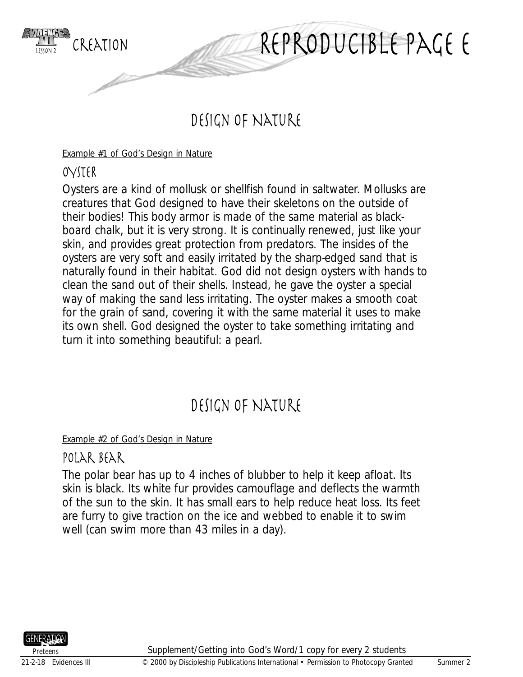

## Design of Nature

Example #1 of God's Design in Nature

### OYSTER

Oysters are a kind of mollusk or shellfish found in saltwater. Mollusks are creatures that God designed to have their skeletons on the outside of their bodies! This body armor is made of the same material as blackboard chalk, but it is very strong. It is continually renewed, just like your skin, and provides great protection from predators. The insides of the oysters are very soft and easily irritated by the sharp-edged sand that is naturally found in their habitat. God did not design oysters with hands to clean the sand out of their shells. Instead, he gave the oyster a special way of making the sand less irritating. The oyster makes a smooth coat for the grain of sand, covering it with the same material it uses to make its own shell. God designed the oyster to take something irritating and turn it into something beautiful: a pearl.

## Design of Nature

#### Example #2 of God's Design in Nature

#### Polar Bear

The polar bear has up to 4 inches of blubber to help it keep afloat. Its skin is black. Its white fur provides camouflage and deflects the warmth of the sun to the skin. It has small ears to help reduce heat loss. Its feet are furry to give traction on the ice and webbed to enable it to swim well (can swim more than 43 miles in a day).



Supplement/Getting into God's Word/1 copy for every 2 students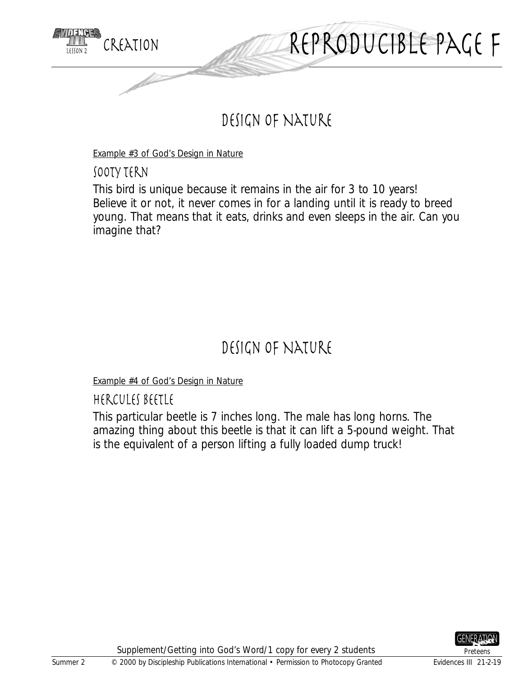

## Reproducible page F

## Design of Nature

Example #3 of God's Design in Nature

Sooty Tern

This bird is unique because it remains in the air for 3 to 10 years! Believe it or not, it never comes in for a landing until it is ready to breed young. That means that it eats, drinks and even sleeps in the air. Can you imagine that?

## Design of Nature

Example #4 of God's Design in Nature

Hercules Beetle

This particular beetle is 7 inches long. The male has long horns. The amazing thing about this beetle is that it can lift a 5-pound weight. That is the equivalent of a person lifting a fully loaded dump truck!



Supplement/Getting into God's Word/1 copy for every 2 students